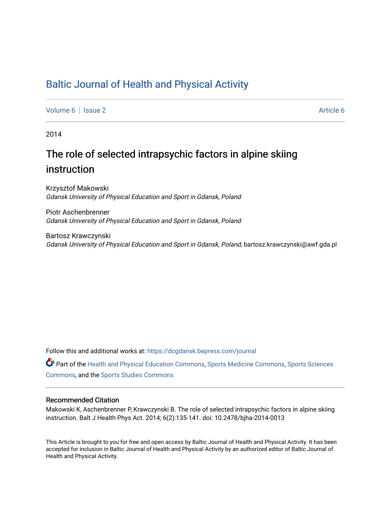# [Baltic Journal of Health and Physical Activity](https://dcgdansk.bepress.com/journal)

[Volume 6](https://dcgdansk.bepress.com/journal/vol6) | [Issue 2](https://dcgdansk.bepress.com/journal/vol6/iss2) [Article 6](https://dcgdansk.bepress.com/journal/vol6/iss2/6) | Article 6 Article 6 | Article 6 Article 6 | Article 6 | Article 6 | Article 6 |

2014

# The role of selected intrapsychic factors in alpine skiing instruction

Krzysztof Makowski Gdansk University of Physical Education and Sport in Gdansk, Poland

Piotr Aschenbrenner Gdansk University of Physical Education and Sport in Gdansk, Poland

Bartosz Krawczynski Gdansk University of Physical Education and Sport in Gdansk, Poland, bartosz.krawczynski@awf.gda.pl

Follow this and additional works at: [https://dcgdansk.bepress.com/journal](https://dcgdansk.bepress.com/journal?utm_source=dcgdansk.bepress.com%2Fjournal%2Fvol6%2Fiss2%2F6&utm_medium=PDF&utm_campaign=PDFCoverPages)

Part of the [Health and Physical Education Commons](http://network.bepress.com/hgg/discipline/1327?utm_source=dcgdansk.bepress.com%2Fjournal%2Fvol6%2Fiss2%2F6&utm_medium=PDF&utm_campaign=PDFCoverPages), [Sports Medicine Commons,](http://network.bepress.com/hgg/discipline/1331?utm_source=dcgdansk.bepress.com%2Fjournal%2Fvol6%2Fiss2%2F6&utm_medium=PDF&utm_campaign=PDFCoverPages) [Sports Sciences](http://network.bepress.com/hgg/discipline/759?utm_source=dcgdansk.bepress.com%2Fjournal%2Fvol6%2Fiss2%2F6&utm_medium=PDF&utm_campaign=PDFCoverPages) [Commons](http://network.bepress.com/hgg/discipline/759?utm_source=dcgdansk.bepress.com%2Fjournal%2Fvol6%2Fiss2%2F6&utm_medium=PDF&utm_campaign=PDFCoverPages), and the [Sports Studies Commons](http://network.bepress.com/hgg/discipline/1198?utm_source=dcgdansk.bepress.com%2Fjournal%2Fvol6%2Fiss2%2F6&utm_medium=PDF&utm_campaign=PDFCoverPages) 

## Recommended Citation

Makowski K, Aschenbrenner P, Krawczynski B. The role of selected intrapsychic factors in alpine skiing instruction. Balt J Health Phys Act. 2014; 6(2):135-141. doi: 10.2478/bjha-2014-0013

This Article is brought to you for free and open access by Baltic Journal of Health and Physical Activity. It has been accepted for inclusion in Baltic Journal of Health and Physical Activity by an authorized editor of Baltic Journal of Health and Physical Activity.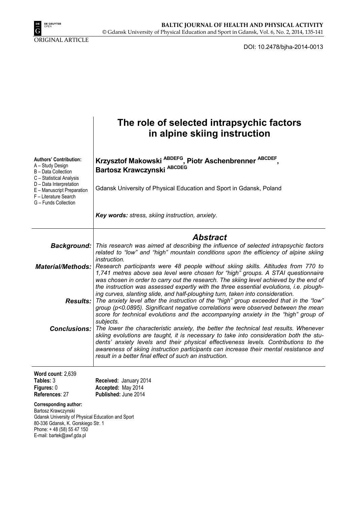

ORIGINAL ARTICLE

DOI: 10.2478/bjha-2014-0013

|                                                                                                                                                                                                                | The role of selected intrapsychic factors<br>in alpine skiing instruction                                                                                                                                                                                                                                                                                                                                                                                                 |
|----------------------------------------------------------------------------------------------------------------------------------------------------------------------------------------------------------------|---------------------------------------------------------------------------------------------------------------------------------------------------------------------------------------------------------------------------------------------------------------------------------------------------------------------------------------------------------------------------------------------------------------------------------------------------------------------------|
| <b>Authors' Contribution:</b><br>A - Study Design<br>B - Data Collection<br>C - Statistical Analysis<br>D - Data Interpretation<br>E - Manuscript Preparation<br>F - Literature Search<br>G - Funds Collection | Krzysztof Makowski <sup>ABDEFG</sup> , Piotr Aschenbrenner <sup>ABCDEF</sup> ,<br>Bartosz Krawczynski ABCDEG<br>Gdansk University of Physical Education and Sport in Gdansk, Poland                                                                                                                                                                                                                                                                                       |
|                                                                                                                                                                                                                | Key words: stress, skiing instruction, anxiety.                                                                                                                                                                                                                                                                                                                                                                                                                           |
|                                                                                                                                                                                                                | <b>Abstract</b>                                                                                                                                                                                                                                                                                                                                                                                                                                                           |
|                                                                                                                                                                                                                | Background:   This research was aimed at describing the influence of selected intrapsychic factors<br>related to "low" and "high" mountain conditions upon the efficiency of alpine skiing<br><i>instruction.</i>                                                                                                                                                                                                                                                         |
|                                                                                                                                                                                                                | <b>Material/Methods:</b> Research participants were 48 people without skiing skills. Altitudes from 770 to<br>1,741 metres above sea level were chosen for "high" groups. A STAI questionnaire<br>was chosen in order to carry out the research. The skiing level achieved by the end of                                                                                                                                                                                  |
|                                                                                                                                                                                                                | the instruction was assessed expertly with the three essential evolutions, i.e. plough-<br>ing curves, slanting slide, and half-ploughing turn, taken into consideration.<br>Results: The anxiety level after the instruction of the "high" group exceeded that in the "low"<br>group ( $p$ <0.0895). Significant negative correlations were observed between the mean<br>score for technical evolutions and the accompanying anxiety in the "high" group of<br>subjects. |
| <b>Conclusions:</b>                                                                                                                                                                                            | The lower the characteristic anxiety, the better the technical test results. Whenever<br>skiing evolutions are taught, it is necessary to take into consideration both the stu-<br>dents' anxiety levels and their physical effectiveness levels. Contributions to the<br>awareness of skiing instruction participants can increase their mental resistance and<br>result in a better final effect of such an instruction.                                                |
| Word count: 2,639<br>Tables: 3<br>Figures: 0<br>References: 27                                                                                                                                                 | Received: January 2014<br>Accepted: May 2014<br>Published: June 2014                                                                                                                                                                                                                                                                                                                                                                                                      |
| <b>Corresponding author:</b><br>Bartosz Krawczynski<br>Gdansk University of Physical Education and Sport                                                                                                       |                                                                                                                                                                                                                                                                                                                                                                                                                                                                           |

80-336 Gdansk, K. Gorskiego Str. 1 Phone: +48 (58) 55 47 150 E-mail: bartek@awf.gda.pl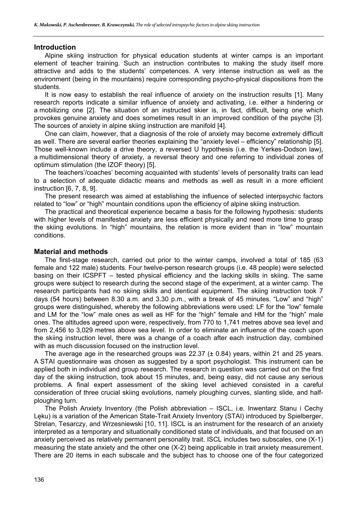### **Introduction**

Alpine skiing instruction for physical education students at winter camps is an important element of teacher training. Such an instruction contributes to making the study itself more attractive and adds to the students' competences. A very intense instruction as well as the environment (being in the mountains) require corresponding psycho-physical dispositions from the students.

It is now easy to establish the real influence of anxiety on the instruction results [1]. Many research reports indicate a similar influence of anxiety and activating, i.e. either a hindering or a mobilizing one [2]. The situation of an instructed skier is, in fact, difficult, being one which provokes genuine anxiety and does sometimes result in an improved condition of the psyche [3]. The sources of anxiety in alpine skiing instruction are manifold [4].

One can claim, however, that a diagnosis of the role of anxiety may become extremely difficult as well. There are several earlier theories explaining the "anxiety level – efficiency" relationship [5]. Those well-known include a drive theory, a reversed U hypothesis (i.e. the Yerkes-Dodson law), a multidimensional theory of anxiety, a reversal theory and one referring to individual zones of optimum stimulation (the IZOF theory) [5].

The teachers'/coaches' becoming acquainted with students' levels of personality traits can lead to a selection of adequate didactic means and methods as well as result in a more efficient instruction [6, 7, 8, 9].

The present research was aimed at establishing the influence of selected interpsychic factors related to "low" or "high" mountain conditions upon the efficiency of alpine skiing instruction.

The practical and theoretical experience became a basis for the following hypothesis: students with higher levels of manifested anxiety are less efficient physically and need more time to grasp the skiing evolutions. In "high" mountains, the relation is more evident than in "low" mountain conditions.

## **Material and methods**

The first-stage research, carried out prior to the winter camps, involved a total of 185 (63 female and 122 male) students. Four twelve-person research groups (i.e. 48 people) were selected basing on their ICSPFT – tested physical efficiency and the lacking skills in skiing. The same groups were subject to research during the second stage of the experiment, at a winter camp. The research participants had no skiing skills and identical equipment. The skiing instruction took 7 days (54 hours) between 8.30 a.m. and 3.30 p.m., with a break of 45 minutes. "Low" and "high" groups were distinguished, whereby the following abbreviations were used: LF for the "low" female and LM for the "low" male ones as well as HF for the "high" female and HM for the "high" male ones. The altitudes agreed upon were, respectively, from 770 to 1,741 metres above sea level and from 2,456 to 3,029 metres above sea level. In order to eliminate an influence of the coach upon the skiing instruction level, there was a change of a coach after each instruction day, combined with as much discussion focused on the instruction level.

The average age in the researched groups was 22.37 (± 0.84) years, within 21 and 25 years. A STAI questionnaire was chosen as suggested by a sport psychologist. This instrument can be applied both in individual and group research. The research in question was carried out on the first day of the skiing instruction, took about 15 minutes, and, being easy, did not cause any serious problems. A final expert assessment of the skiing level achieved consisted in a careful consideration of three crucial skiing evolutions, namely ploughing curves, slanting slide, and halfploughing turn.

The Polish Anxiety Inventory (the Polish abbreviation – ISCL, i.e. Inwentarz Stanu i Cechy Lęku) is a variation of the American State-Trait Anxiety Inventory (STAI) introduced by Spielberger, Strelan, Tesarczy, and Wrzesniewski [10, 11]. ISCL is an instrument for the research of an anxiety interpreted as a temporary and situationally conditioned state of individuals, and that focused on an anxiety perceived as relatively permanent personality trait. ISCL includes two subscales, one (X-1) measuring the state anxiety and the other one (X-2) being applicable in trait anxiety measurement. There are 20 items in each subscale and the subject has to choose one of the four categorized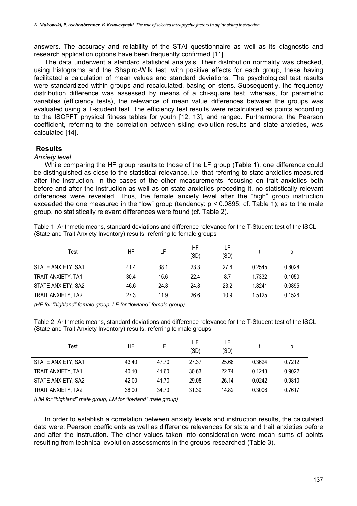answers. The accuracy and reliability of the STAI questionnaire as well as its diagnostic and research application options have been frequently confirmed [11].

The data underwent a standard statistical analysis. Their distribution normality was checked, using histograms and the Shapiro-Wilk test, with positive effects for each group, these having facilitated a calculation of mean values and standard deviations. The psychological test results were standardized within groups and recalculated, basing on stens. Subsequently, the frequency distribution difference was assessed by means of a chi-square test, whereas, for parametric variables (efficiency tests), the relevance of mean value differences between the groups was evaluated using a T-student test. The efficiency test results were recalculated as points according to the ISCPFT physical fitness tables for youth [12, 13], and ranged. Furthermore, the Pearson coefficient, referring to the correlation between skiing evolution results and state anxieties, was calculated [14].

# **Results**

# *Anxiety level*

While comparing the HF group results to those of the LF group (Table 1), one difference could be distinguished as close to the statistical relevance, i.e. that referring to state anxieties measured after the instruction. In the cases of the other measurements, focusing on trait anxieties both before and after the instruction as well as on state anxieties preceding it, no statistically relevant differences were revealed. Thus, the female anxiety level after the "high" group instruction exceeded the one measured in the "low" group (tendency:  $p < 0.0895$ ; cf. Table 1); as to the male group, no statistically relevant differences were found (cf. Table 2).

Table 1. Arithmetic means, standard deviations and difference relevance for the T-Student test of the ISCL (State and Trait Anxiety Inventory) results, referring to female groups

| Test               | ΗF   | LF   | ΗF<br>(SD) | LF<br>(SD) |        | p      |
|--------------------|------|------|------------|------------|--------|--------|
| STATE ANXIETY, SA1 | 41.4 | 38.1 | 23.3       | 27.6       | 0.2545 | 0.8028 |
| TRAIT ANXIETY, TA1 | 30.4 | 15.6 | 22.4       | 8.7        | 1.7332 | 0.1050 |
| STATE ANXIETY, SA2 | 46.6 | 24.8 | 24.8       | 23.2       | 1.8241 | 0.0895 |
| TRAIT ANXIETY, TA2 | 27.3 | 11.9 | 26.6       | 10.9       | 1.5125 | 0.1526 |

*(HF for "highland" female group, LF for "lowland" female group)* 

Table 2. Arithmetic means, standard deviations and difference relevance for the T-Student test of the ISCL (State and Trait Anxiety Inventory) results, referring to male groups

| Test               | <b>HF</b> | ιF.   | ΗF<br>(SD) | LF<br>(SD) |        | р      |
|--------------------|-----------|-------|------------|------------|--------|--------|
| STATE ANXIETY, SA1 | 43.40     | 47.70 | 27.37      | 25.66      | 0.3624 | 0.7212 |
| TRAIT ANXIETY, TA1 | 40.10     | 41.60 | 30.63      | 22.74      | 0.1243 | 0.9022 |
| STATE ANXIETY, SA2 | 42.00     | 41.70 | 29.08      | 26.14      | 0.0242 | 0.9810 |
| TRAIT ANXIETY, TA2 | 38.00     | 34.70 | 31.39      | 14.82      | 0.3006 | 0.7617 |

*(HM for "highland" male group, LM for "lowland" male group)* 

In order to establish a correlation between anxiety levels and instruction results, the calculated data were: Pearson coefficients as well as difference relevances for state and trait anxieties before and after the instruction. The other values taken into consideration were mean sums of points resulting from technical evolution assessments in the groups researched (Table 3).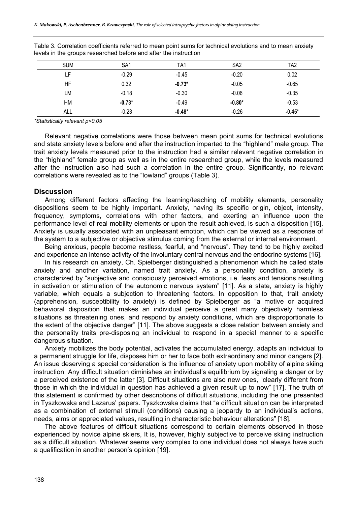| <b>SUM</b> | SA1      | TA1      | SA <sub>2</sub> | TA <sub>2</sub> |
|------------|----------|----------|-----------------|-----------------|
| LΕ         | $-0.29$  | $-0.45$  | $-0.20$         | 0.02            |
| <b>HF</b>  | 0.32     | $-0.73*$ | $-0.05$         | $-0.65$         |
| LМ         | $-0.18$  | $-0.30$  | $-0.06$         | $-0.35$         |
| HM         | $-0.73*$ | $-0.49$  | $-0.80*$        | $-0.53$         |
| ALL        | $-0.23$  | $-0.48*$ | $-0.26$         | $-0.45*$        |

Table 3. Correlation coefficients referred to mean point sums for technical evolutions and to mean anxiety levels in the groups researched before and after the instruction

*\*Statistically relevant p<0.05* 

Relevant negative correlations were those between mean point sums for technical evolutions and state anxiety levels before and after the instruction imparted to the "highland" male group. The trait anxiety levels measured prior to the instruction had a similar relevant negative correlation in the "highland" female group as well as in the entire researched group, while the levels measured after the instruction also had such a correlation in the entire group. Significantly, no relevant correlations were revealed as to the "lowland" groups (Table 3).

# **Discussion**

Among different factors affecting the learning/teaching of mobility elements, personality dispositions seem to be highly important. Anxiety, having its specific origin, object, intensity, frequency, symptoms, correlations with other factors, and exerting an influence upon the performance level of real mobility elements or upon the result achieved, is such a disposition [15]. Anxiety is usually associated with an unpleasant emotion, which can be viewed as a response of the system to a subjective or objective stimulus coming from the external or internal environment.

Being anxious, people become restless, fearful, and "nervous". They tend to be highly excited and experience an intense activity of the involuntary central nervous and the endocrine systems [16].

In his research on anxiety, Ch. Spielberger distinguished a phenomenon which he called state anxiety and another variation, named trait anxiety. As a personality condition, anxiety is characterized by "subjective and consciously perceived emotions, i.e. fears and tensions resulting in activation or stimulation of the autonomic nervous system" [11]. As a state, anxiety is highly variable, which equals a subjection to threatening factors. In opposition to that, trait anxiety (apprehension, susceptibility to anxiety) is defined by Spielberger as "a motive or acquired behavioral disposition that makes an individual perceive a great many objectively harmless situations as threatening ones, and respond by anxiety conditions, which are disproportionate to the extent of the objective danger" [11]. The above suggests a close relation between anxiety and the personality traits pre-disposing an individual to respond in a special manner to a specific dangerous situation.

Anxiety mobilizes the body potential, activates the accumulated energy, adapts an individual to a permanent struggle for life, disposes him or her to face both extraordinary and minor dangers [2]. An issue deserving a special consideration is the influence of anxiety upon mobility of alpine skiing instruction. Any difficult situation diminishes an individual's equilibrium by signaling a danger or by a perceived existence of the latter [3]. Difficult situations are also new ones, "clearly different from those in which the individual in question has achieved a given result up to now" [17]. The truth of this statement is confirmed by other descriptions of difficult situations, including the one presented in Tyszkowska and Lazarus' papers. Tyszkowska claims that "a difficult situation can be interpreted as a combination of external stimuli (conditions) causing a jeopardy to an individual's actions, needs, aims or appreciated values, resulting in characteristic behaviour alterations" [18].

The above features of difficult situations correspond to certain elements observed in those experienced by novice alpine skiers, It is, however, highly subjective to perceive skiing instruction as a difficult situation. Whatever seems very complex to one individual does not always have such a qualification in another person's opinion [19].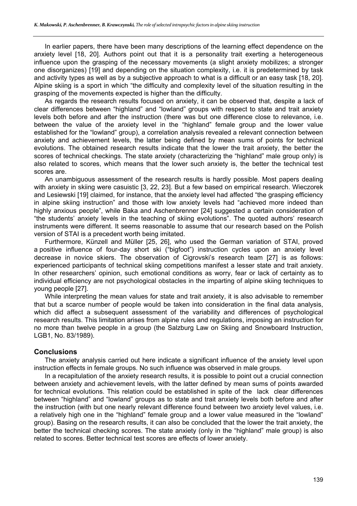In earlier papers, there have been many descriptions of the learning effect dependence on the anxiety level [18, 20]. Authors point out that it is a personality trait exerting a heterogeneous influence upon the grasping of the necessary movements (a slight anxiety mobilizes; a stronger one disorganizes) [19] and depending on the situation complexity, i.e. it is predetermined by task and activity types as well as by a subjective approach to what is a difficult or an easy task [18, 20]. Alpine skiing is a sport in which "the difficulty and complexity level of the situation resulting in the grasping of the movements expected is higher than the difficulty.

As regards the research results focused on anxiety, it can be observed that, despite a lack of clear differences between "highland" and "lowland" groups with respect to state and trait anxiety levels both before and after the instruction (there was but one difference close to relevance, i.e. between the value of the anxiety level in the "highland" female group and the lower value established for the "lowland" group), a correlation analysis revealed a relevant connection between anxiety and achievement levels, the latter being defined by mean sums of points for technical evolutions. The obtained research results indicate that the lower the trait anxiety, the better the scores of technical checkings. The state anxiety (characterizing the "highland" male group only) is also related to scores, which means that the lower such anxiety is, the better the technical test scores are.

An unambiguous assessment of the research results is hardly possible. Most papers dealing with anxiety in skiing were casuistic [3, 22, 23]. But a few based on empirical research. Wieczorek and Lesiewski [19] claimed, for instance, that the anxiety level had affected "the grasping efficiency in alpine skiing instruction" and those with low anxiety levels had "achieved more indeed than highly anxious people", while Baka and Aschenbrenner [24] suggested a certain consideration of "the students' anxiety levels in the teaching of skiing evolutions". The quoted authors' research instruments were different. It seems reasonable to assume that our research based on the Polish version of STAI is a precedent worth being imitated.

Furthermore, Künzell and Müller [25, 26], who used the German variation of STAI, proved a positive influence of four-day short ski ("bigfoot") instruction cycles upon an anxiety level decrease in novice skiers. The observation of Cigrovski's research team [27] is as follows: experienced participants of technical skiing competitions manifest a lesser state and trait anxiety. In other researchers' opinion, such emotional conditions as worry, fear or lack of certainty as to individual efficiency are not psychological obstacles in the imparting of alpine skiing techniques to young people [27].

While interpreting the mean values for state and trait anxiety, it is also advisable to remember that but a scarce number of people would be taken into consideration in the final data analysis, which did affect a subsequent assessment of the variability and differences of psychological research results. This limitation arises from alpine rules and regulations, imposing an instruction for no more than twelve people in a group (the Salzburg Law on Skiing and Snowboard Instruction, LGB1, No. 83/1989).

# **Conclusions**

The anxiety analysis carried out here indicate a significant influence of the anxiety level upon instruction effects in female groups. No such influence was observed in male groups.

In a recapitulation of the anxiety research results, it is possible to point out a crucial connection between anxiety and achievement levels, with the latter defined by mean sums of points awarded for technical evolutions. This relation could be established in spite of the lack clear differences between "highland" and "lowland" groups as to state and trait anxiety levels both before and after the instruction (with but one nearly relevant difference found between two anxiety level values, i.e. a relatively high one in the "highland" female group and a lower value measured in the "lowland" group). Basing on the research results, it can also be concluded that the lower the trait anxiety, the better the technical checking scores. The state anxiety (only in the "highland" male group) is also related to scores. Better technical test scores are effects of lower anxiety.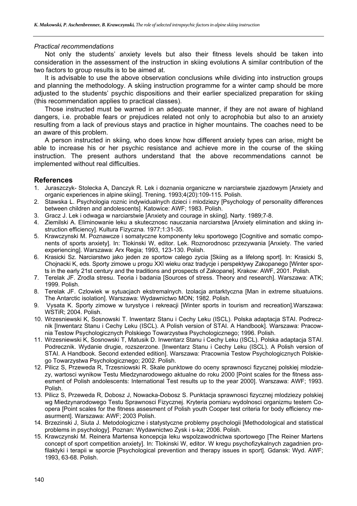### *Practical recommendations*

Not only the students' anxiety levels but also their fitness levels should be taken into consideration in the assessment of the instruction in skiing evolutions A similar contribution of the two factors to group results is to be aimed at.

It is advisable to use the above observation conclusions while dividing into instruction groups and planning the methodology. A skiing instruction programme for a winter camp should be more adjusted to the students' psychic dispositions and their earlier specialized preparation for skiing (this recommendation applies to practical classes).

Those instructed must be warned in an adequate manner, if they are not aware of highland dangers, i.e. probable fears or prejudices related not only to acrophobia but also to an anxiety resulting from a lack of previous stays and practice in higher mountains. The coaches need to be an aware of this problem.

A person instructed in skiing, who does know how different anxiety types can arise, might be able to increase his or her psychic resistance and achieve more in the course of the skiing instruction. The present authors understand that the above recommendations cannot be implemented without real difficulties.

#### **References**

- 1. Juraszczyk- Stolecka A, Danczyk R. Lek i doznania organiczne w narciarstwie zjazdowym [Anxiety and organic experiences in alpine skiing]. Trening. 1993;4(20):109-115. Polish.
- 2. Stawska L. Psychologia roznic indywidualnych dzieci i mlodziezy [Psychology of personality differences between children and andolescents]. Katowice: AWF; 1983. Polish.
- 3. Gracz J. Lek i odwaga w narciarstwie [Anxiety and courage in skiing]. Narty. 1989;7-8.
- 4. Ziemilski A. Eliminowanie leku a skutecznosc nauczania narciarstwa [Anxiety elimination and skiing instruction efficiency]. Kultura Fizyczna. 1977;1:31-35.
- 5. Krawczynski M. Poznawcze i somatyczne komponenty leku sportowego [Cognitive and somatic components of sports anxiety]. In: Tlokinski W, editor. Lek. Roznorodnosc przezywania [Anxiety. The varied experiencing]. Warszawa: Arx Regia; 1993, 123-130. Polish.
- 6. Krasicki Sz. Narciarstwo jako jeden ze sportow calego zycia [Skiing as a lifelong sport]. In: Krasicki S, Chojnacki K, eds. Sporty zimowe u progu XXI wieku oraz tradycje i perspektywy Zakopanego [Winter sports in the early 21st century and the traditions and prospects of Zakopane]. Krakow: AWF, 2001. Polish.
- 7. Terelak JF. Zrodla stresu. Teoria i badania [Sources of stress. Theory and research]. Warszawa: ATK; 1999. Polish.
- 8. Terelak JF. Czlowiek w sytuacjach ekstremalnych. Izolacja antarktyczna [Man in extreme situatuions. The Antarctic isolation]. Warszawa: Wydawnictwo MON; 1982. Polish.
- 9. Vysata K. Sporty zimowe w turystyce i rekreacji [Winter sports in tourism and recreation].Warszawa: WSTiR; 2004. Polish.
- 10. Wrzesniewski K, Sosnowski T. Inwentarz Stanu i Cechy Leku (ISCL). Polska adaptacja STAI. Podrecznik [Inwentarz Stanu i Cechy Leku (ISCL). A Polish version of STAI. A Handbook]. Warszawa: Pracownia Testow Psychologicznych Polskiego Towarzystwa Psychologicznego; 1996. Polish.
- 11. Wrzesniewski K, Sosnowski T, Matusik D. Inwentarz Stanu i Cechy Leku (ISCL). Polska adaptacja STAI. Podrecznik. Wydanie drugie, rozszerzone. [Inwentarz Stanu i Cechy Leku (ISCL). A Polish version of STAI. A Handbook. Second extended edition]. Warszawa: Pracownia Testow Psychologicznych Polskiego Towarzystwa Psychologicznego; 2002. Polish.
- 12. Pilicz S, Przeweda R, Trzesniowski R. Skale punktowe do oceny sprawnosci fizycznej polskiej mlodziezy, wartosci wynikow Testu Miedzynarodowego aktualne do roku 2000 [Point scales for the fitness assesment of Polish andolescents: International Test results up to the year 2000]. Warszawa: AWF; 1993. Polish.
- 13. Pilicz S, Przeweda R, Dobosz J, Nowacka-Dobosz S. Punktacja sprawnosci fizycznej mlodziezy polskiej wg Miedzynarodowego Testu Sprawnosci Fizycznej. Kryteria pomiaru wydolnosci organizmu testem Coopera [Point scales for the fitness assesment of Polish youth Cooper test criteria for body efficiency measurment]. Warszawa: AWF; 2003 Polish.
- 14. Brzezinski J, Siuta J. Metodologiczne i statystyczne problemy psychologii [Methodological and statistical problems in psychology]. Poznan: Wydawnictwo Zysk i s-ka; 2006. Polish.
- 15. Krawczynski M. Reinera Martensa koncepcja leku wspolzawodnictwa sportowego [The Reiner Martens concept of sport competition anxiety]. In: Tlokinski W, editor. W kregu psychofizykalnych zagadnien profilaktyki i terapii w sporcie [Psychological prevention and therapy issues in sport]. Gdansk: Wyd. AWF; 1993, 63-68. Polish.